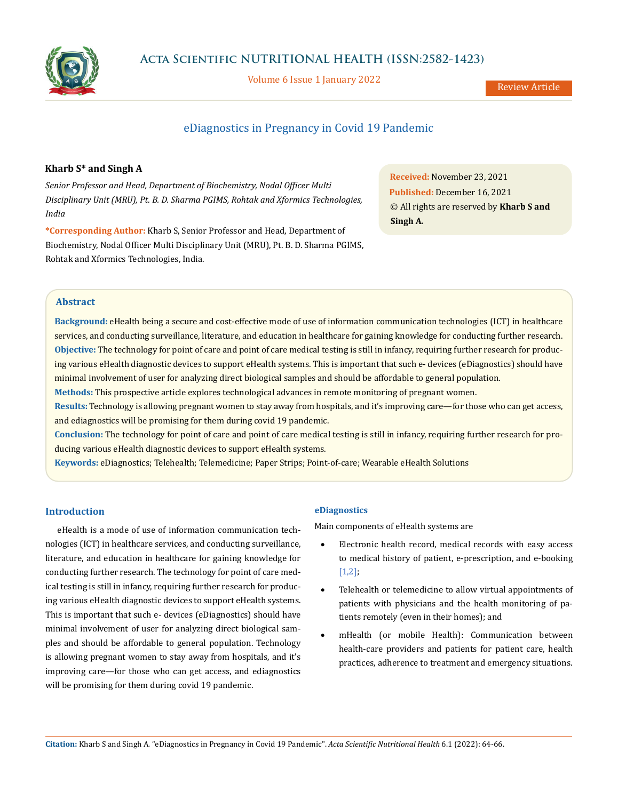

**Acta Scientific NUTRITIONAL HEALTH (ISSN:2582-1423)**

Volume 6 Issue 1 January 2022

# eDiagnostics in Pregnancy in Covid 19 Pandemic

# **Kharb S\* and Singh A**

*Senior Professor and Head, Department of Biochemistry, Nodal Officer Multi Disciplinary Unit (MRU), Pt. B. D. Sharma PGIMS, Rohtak and Xformics Technologies, India*

**\*Corresponding Author:** Kharb S, Senior Professor and Head, Department of Biochemistry, Nodal Officer Multi Disciplinary Unit (MRU), Pt. B. D. Sharma PGIMS, Rohtak and Xformics Technologies, India.

**Received:** November 23, 2021 **Published:** December 16, 2021 © All rights are reserved by **Kharb S and Singh A***.*

# **Abstract**

**Background:** eHealth being a secure and cost-effective mode of use of information communication technologies (ICT) in healthcare services, and conducting surveillance, literature, and education in healthcare for gaining knowledge for conducting further research. **Objective:** The technology for point of care and point of care medical testing is still in infancy, requiring further research for producing various eHealth diagnostic devices to support eHealth systems. This is important that such e- devices (eDiagnostics) should have minimal involvement of user for analyzing direct biological samples and should be affordable to general population.

**Methods:** This prospective article explores technological advances in remote monitoring of pregnant women.

**Results:** Technology is allowing pregnant women to stay away from hospitals, and it's improving care—for those who can get access, and ediagnostics will be promising for them during covid 19 pandemic.

**Conclusion:** The technology for point of care and point of care medical testing is still in infancy, requiring further research for producing various eHealth diagnostic devices to support eHealth systems.

**Keywords:** eDiagnostics; Telehealth; Telemedicine; Paper Strips; Point-of-care; Wearable eHealth Solutions

# **Introduction**

eHealth is a mode of use of information communication technologies (ICT) in healthcare services, and conducting surveillance, literature, and education in healthcare for gaining knowledge for conducting further research. The technology for point of care medical testing is still in infancy, requiring further research for producing various eHealth diagnostic devices to support eHealth systems. This is important that such e- devices (eDiagnostics) should have minimal involvement of user for analyzing direct biological samples and should be affordable to general population. Technology is allowing pregnant women to stay away from hospitals, and it's improving care—for those who can get access, and ediagnostics will be promising for them during covid 19 pandemic.

# **eDiagnostics**

Main components of eHealth systems are

- Electronic health record, medical records with easy access to medical history of patient, e-prescription, and e-booking [1,2];
- Telehealth or telemedicine to allow virtual appointments of patients with physicians and the health monitoring of patients remotely (even in their homes); and
- mHealth (or mobile Health): Communication between health-care providers and patients for patient care, health practices, adherence to treatment and emergency situations.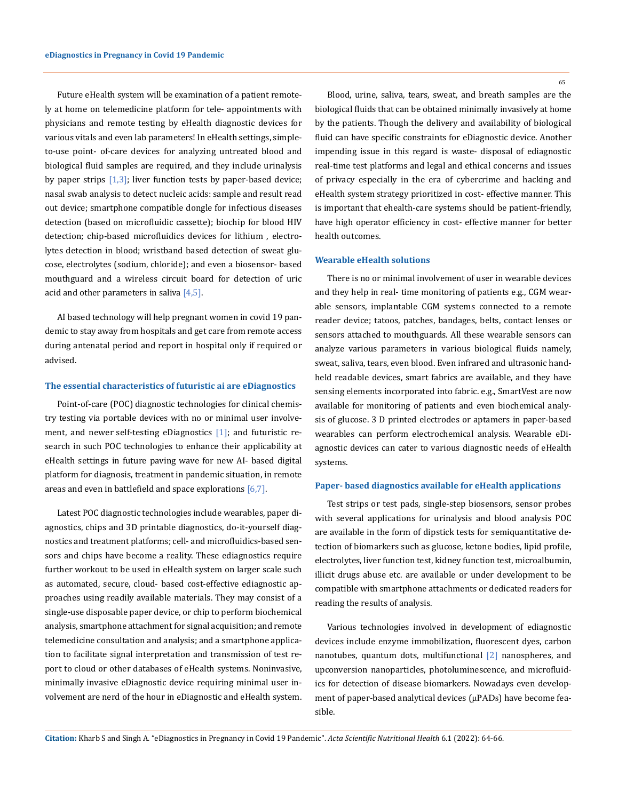Future eHealth system will be examination of a patient remotely at home on telemedicine platform for tele- appointments with physicians and remote testing by eHealth diagnostic devices for various vitals and even lab parameters! In eHealth settings, simpleto-use point- of-care devices for analyzing untreated blood and biological fluid samples are required, and they include urinalysis by paper strips  $[1,3]$ ; liver function tests by paper-based device; nasal swab analysis to detect nucleic acids: sample and result read out device; smartphone compatible dongle for infectious diseases detection (based on microfluidic cassette); biochip for blood HIV detection; chip-based microfluidics devices for lithium , electrolytes detection in blood; wristband based detection of sweat glucose, electrolytes (sodium, chloride); and even a biosensor- based mouthguard and a wireless circuit board for detection of uric acid and other parameters in saliva  $[4,5]$ .

AI based technology will help pregnant women in covid 19 pandemic to stay away from hospitals and get care from remote access during antenatal period and report in hospital only if required or advised.

#### **The essential characteristics of futuristic ai are eDiagnostics**

Point-of-care (POC) diagnostic technologies for clinical chemistry testing via portable devices with no or minimal user involvement, and newer self-testing eDiagnostics  $[1]$ ; and futuristic research in such POC technologies to enhance their applicability at eHealth settings in future paving wave for new AI- based digital platform for diagnosis, treatment in pandemic situation, in remote areas and even in battlefield and space explorations  $[6,7]$ .

Latest POC diagnostic technologies include wearables, paper diagnostics, chips and 3D printable diagnostics, do-it-yourself diagnostics and treatment platforms; cell- and microfluidics-based sensors and chips have become a reality. These ediagnostics require further workout to be used in eHealth system on larger scale such as automated, secure, cloud- based cost-effective ediagnostic approaches using readily available materials. They may consist of a single-use disposable paper device, or chip to perform biochemical analysis, smartphone attachment for signal acquisition; and remote telemedicine consultation and analysis; and a smartphone application to facilitate signal interpretation and transmission of test report to cloud or other databases of eHealth systems. Noninvasive, minimally invasive eDiagnostic device requiring minimal user involvement are nerd of the hour in eDiagnostic and eHealth system. 65

Blood, urine, saliva, tears, sweat, and breath samples are the biological fluids that can be obtained minimally invasively at home by the patients. Though the delivery and availability of biological fluid can have specific constraints for eDiagnostic device. Another impending issue in this regard is waste- disposal of ediagnostic real-time test platforms and legal and ethical concerns and issues of privacy especially in the era of cybercrime and hacking and eHealth system strategy prioritized in cost- effective manner. This is important that ehealth-care systems should be patient-friendly, have high operator efficiency in cost- effective manner for better health outcomes.

### **Wearable eHealth solutions**

There is no or minimal involvement of user in wearable devices and they help in real- time monitoring of patients e.g., CGM wearable sensors, implantable CGM systems connected to a remote reader device; tatoos, patches, bandages, belts, contact lenses or sensors attached to mouthguards. All these wearable sensors can analyze various parameters in various biological fluids namely, sweat, saliva, tears, even blood. Even infrared and ultrasonic handheld readable devices, smart fabrics are available, and they have sensing elements incorporated into fabric. e.g., SmartVest are now available for monitoring of patients and even biochemical analysis of glucose. 3 D printed electrodes or aptamers in paper-based wearables can perform electrochemical analysis. Wearable eDiagnostic devices can cater to various diagnostic needs of eHealth systems.

## **Paper- based diagnostics available for eHealth applications**

Test strips or test pads, single-step biosensors, sensor probes with several applications for urinalysis and blood analysis POC are available in the form of dipstick tests for semiquantitative detection of biomarkers such as glucose, ketone bodies, lipid profile, electrolytes, liver function test, kidney function test, microalbumin, illicit drugs abuse etc. are available or under development to be compatible with smartphone attachments or dedicated readers for reading the results of analysis.

Various technologies involved in development of ediagnostic devices include enzyme immobilization, fluorescent dyes, carbon nanotubes, quantum dots, multifunctional [2] nanospheres, and upconversion nanoparticles, photoluminescence, and microfluidics for detection of disease biomarkers. Nowadays even development of paper-based analytical devices (μPADs) have become feasible.